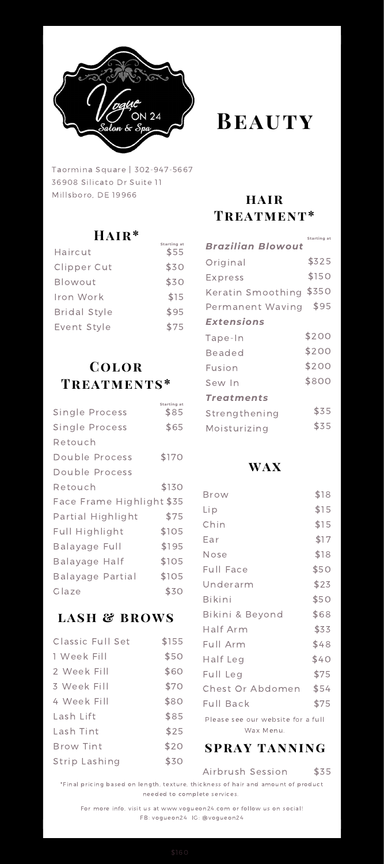

Taormina Square | 302-947-5667 36908 Silicato Dr Suite 11 Millsboro, DE 19966

## **Hair\***

**Starting at**

| Haircut             | \$55 |
|---------------------|------|
| Clipper Cut         | \$30 |
| Blowout             | \$30 |
| Iron Work           | \$15 |
| <b>Bridal Style</b> | \$95 |
| Event Style         | \$75 |

# **Color Treatments\***

| Single Process            | Starting at<br>\$85 |
|---------------------------|---------------------|
| Single Process            | \$65                |
| Retouch                   |                     |
| Double Process            | \$170               |
| Double Process            |                     |
| Retouch                   | \$130               |
| Face Frame Highlight \$35 |                     |
| Partial Highlight         | \$75                |
| Full Highlight            | \$105               |
| Balayage Full             | \$195               |
| Balayage Half             | \$105               |
| Balayage Partial          | \$105               |
| Glaze                     | \$30                |
|                           |                     |

## **lash & brows**

| Classic Full Set | \$155 |
|------------------|-------|
| 1 Week Fill      | \$50  |
| 2 Week Fill      | \$60  |
| 3 Week Fill      | \$70  |
| 4 Week Fill      | \$80  |
| Lash Lift        | \$85  |
| Lash Tint        | \$25  |
| <b>Brow Tint</b> | \$20  |
| Strip Lashing    | \$30  |

# **Beauty**

### **hair Treatment\***

|                   | Starting at |
|-------------------|-------------|
| Brazilian Blowout |             |
| Original          | \$325       |
| Express           | \$150       |
| Keratin Smoothing | \$350       |
| Permanent Waving  | \$95        |
| Extensions        |             |
| Tape-In           | \$200       |
| Beaded            | \$200       |
| Fusion            | \$200       |
| Sew In            | \$800       |
| Treatments        |             |
| Strengthening     | \$35        |
| Moisturizing      | \$35        |

### **wax**

| Brow                              | \$18 |
|-----------------------------------|------|
| Lip                               | \$15 |
| Chin                              | \$15 |
| Ear                               | \$17 |
| Nose                              | \$18 |
| Full Face                         | \$50 |
| Underarm                          | \$23 |
| <b>Bikini</b>                     | \$50 |
| Bikini & Beyond                   | \$68 |
| Half Arm                          | \$33 |
| Full Arm                          | \$48 |
| Half Leg                          | \$40 |
| Full Leg                          | \$75 |
| Chest Or Abdomen                  | \$54 |
| Full Back                         | \$75 |
| Please see our website for a full |      |
| Wax Menu.                         |      |

# **spray tanning**

### Airbrush Session

\$35

\*Final pricing based on length, texture, thickness of hair and amount of product needed to complete services.

For more info, visit us at www.vogueon24.com or follow us on social! FB: vogueon24 IG: @vogueon24